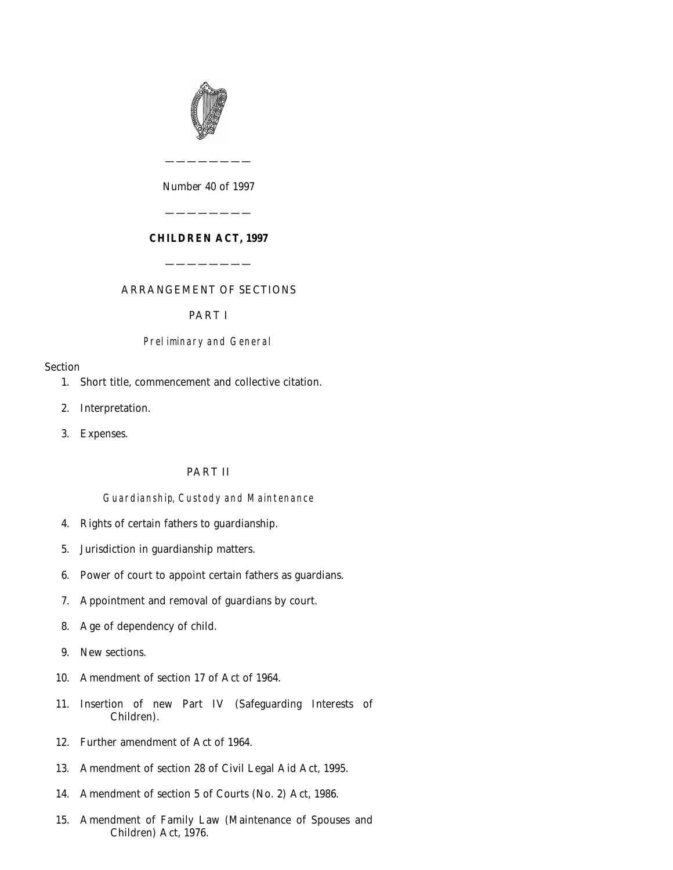

*Number* 40 *of* 1997

————————

# **CHILDREN ACT, 1997**

————————

———————— ARRANGEMENT OF SECTIONS

# PART I

## Preliminary and General

## Section

- [1. Short title, commencement and collective citation.](#page-2-0)
- [2. Interpretation.](#page-3-0)
- [3. Expenses.](#page-3-0)

# PART II

## Guardianship, Custody and Maintenance

- [4. Rights of certain fathers to guardianship.](#page-3-0)
- [5. Jurisdiction in guardianship matters.](#page-6-0)
- [6. Power of court to appoint certain fathers as guardians.](#page-6-0)
- [7. Appointment and removal of guardians by court.](#page-6-0)
- [8. Age of dependency of child.](#page-6-0)
- [9. New sections.](#page-7-0)
- [10. Amendment of section 17 of Act of 1964.](#page-8-0)
- [11. Insertion of new Part IV \(Safeguarding Interests of](#page-8-0) Children).
- [12. Further amendment of Act of 1964.](#page-14-0)
- [13. Amendment of section 28 of Civil Legal Aid Act, 1995.](#page-14-0)
- [14. Amendment of section 5 of Courts \(No. 2\) Act, 1986.](#page-14-0)
- [15. Amendment of Family Law \(Maintenance of Spouses and](#page-14-0) Children) Act, 1976.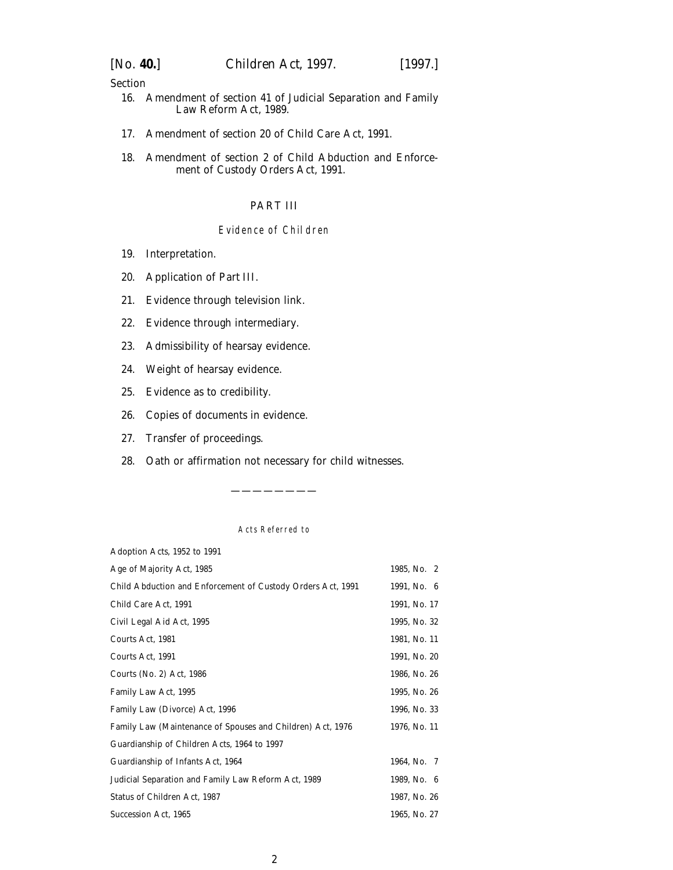### Section

- [16. Amendment of section 41 of Judicial Separation and Family](#page-15-0) Law Reform Act, 1989.
- [17. Amendment of section 20 of Child Care Act, 1991.](#page-15-0)
- [18. Amendment of section 2 of Child Abduction and Enforce](#page-15-0)ment of Custody Orders Act, 1991.

### PART III

## Evidence of Children

- [19. Interpretation.](#page-16-0)
- [20. Application of](#page-16-0) *Part III*.
- [21. Evidence through television link.](#page-16-0)
- [22. Evidence through intermediary.](#page-16-0)
- [23. Admissibility of hearsay evidence.](#page-17-0)
- [24. Weight of hearsay evidence.](#page-17-0)
- [25. Evidence as to credibility.](#page-18-0)
- [26. Copies of documents in evidence.](#page-18-0)
- [27. Transfer of proceedings.](#page-18-0)
- [28. Oath or affirmation not necessary for child witnesses.](#page-19-0)

#### Acts Referred to

————————

| Adoption Acts, 1952 to 1991                                 |              |
|-------------------------------------------------------------|--------------|
| Age of Majority Act, 1985                                   | 1985, No. 2  |
| Child Abduction and Enforcement of Custody Orders Act, 1991 | 1991, No. 6  |
| Child Care Act, 1991                                        | 1991, No. 17 |
| Civil Legal Aid Act, 1995                                   | 1995, No. 32 |
| Courts Act, 1981                                            | 1981, No. 11 |
| Courts Act, 1991                                            | 1991, No. 20 |
| Courts (No. 2) Act, 1986                                    | 1986, No. 26 |
| Family Law Act, 1995                                        | 1995, No. 26 |
| Family Law (Divorce) Act, 1996                              | 1996, No. 33 |
| Family Law (Maintenance of Spouses and Children) Act, 1976  | 1976, No. 11 |
| Guardianship of Children Acts, 1964 to 1997                 |              |
| Guardianship of Infants Act, 1964                           | 1964, No. 7  |
| Judicial Separation and Family Law Reform Act, 1989         | 1989, No. 6  |
| Status of Children Act, 1987                                | 1987, No. 26 |
| Succession Act, 1965                                        | 1965, No. 27 |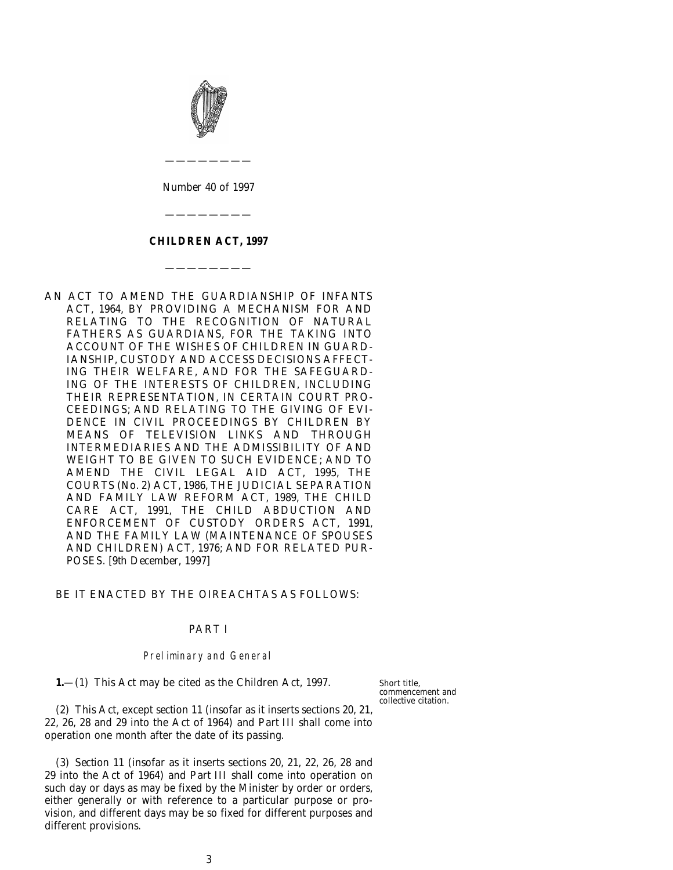<span id="page-2-0"></span>

*Number* 40 *of* 1997

————————

### **CHILDREN ACT, 1997**

————————

————————

AN ACT TO AMEND THE GUARDIANSHIP OF INFANTS ACT, 1964, BY PROVIDING A MECHANISM FOR AND RELATING TO THE RECOGNITION OF NATURAL FATHERS AS GUARDIANS, FOR THE TAKING INTO ACCOUNT OF THE WISHES OF CHILDREN IN GUARD-IANSHIP, CUSTODY AND ACCESS DECISIONS AFFECT-ING THEIR WELFARE, AND FOR THE SAFEGUARD-ING OF THE INTERESTS OF CHILDREN, INCLUDING THEIR REPRESENTATION, IN CERTAIN COURT PRO-CEEDINGS; AND RELATING TO THE GIVING OF EVI-DENCE IN CIVIL PROCEEDINGS BY CHILDREN BY MEANS OF TELEVISION LINKS AND THROUGH INTERMEDIARIES AND THE ADMISSIBILITY OF AND WEIGHT TO BE GIVEN TO SUCH EVIDENCE; AND TO AMEND THE CIVIL LEGAL AID ACT, 1995, THE COURTS (No. 2) ACT, 1986, THE JUDICIAL SEPARATION AND FAMILY LAW REFORM ACT, 1989, THE CHILD CARE ACT, 1991, THE CHILD ABDUCTION AND ENFORCEMENT OF CUSTODY ORDERS ACT, 1991, AND THE FAMILY LAW (MAINTENANCE OF SPOUSES AND CHILDREN) ACT, 1976; AND FOR RELATED PUR-POSES. [9*th December,* 1997]

#### BE IT ENACTED BY THE OIREACHTAS AS FOLLOWS:

### PART I

#### Preliminary and General

**1.**—(1) This Act may be cited as the Children Act, 1997.

Short title, commencement and collective citation.

(2) This Act, except *section 11* (insofar as it inserts sections 20, 21, 22, 26, 28 and 29 into the Act of 1964) and *Part III* shall come into operation one month after the date of its passing.

(3) *Section 11* (insofar as it inserts sections 20, 21, 22, 26, 28 and 29 into the Act of 1964) and *Part III* shall come into operation on such day or days as may be fixed by the Minister by order or orders, either generally or with reference to a particular purpose or provision, and different days may be so fixed for different purposes and different provisions.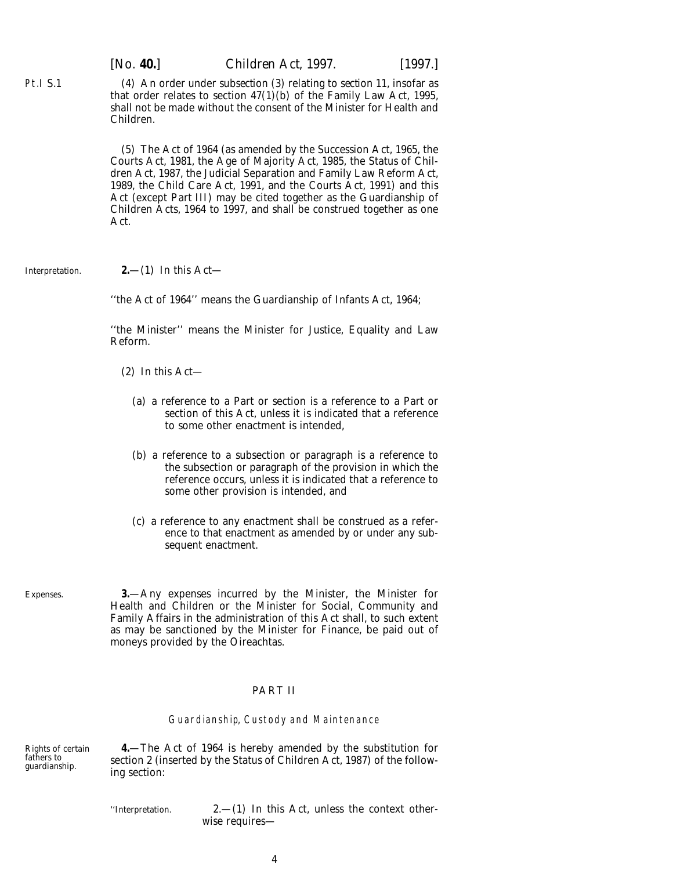(4) An order under *subsection (3)* relating to *section 11*, insofar as that order relates to section 47(1)(*b*) of the Family Law Act, 1995, shall not be made without the consent of the Minister for Health and Children.

(5) The Act of 1964 (as amended by the Succession Act, 1965, the Courts Act, 1981, the Age of Majority Act, 1985, the Status of Children Act, 1987, the Judicial Separation and Family Law Reform Act, 1989, the Child Care Act, 1991, and the Courts Act, 1991) and this Act (except *Part III*) may be cited together as the Guardianship of Children Acts, 1964 to 1997, and shall be construed together as one Act.

Interpretation.

<span id="page-3-0"></span>Pt.I S.1

#### **2.**—(1) In this Act—

''the Act of 1964'' means the Guardianship of Infants Act, 1964;

''the Minister'' means the Minister for Justice, Equality and Law Reform.

- (2) In this Act—
	- (*a*) a reference to a Part or section is a reference to a Part or section of this Act, unless it is indicated that a reference to some other enactment is intended,
	- (*b*) a reference to a subsection or paragraph is a reference to the subsection or paragraph of the provision in which the reference occurs, unless it is indicated that a reference to some other provision is intended, and
	- (*c*) a reference to any enactment shall be construed as a reference to that enactment as amended by or under any subsequent enactment.

Expenses.

**3.**—Any expenses incurred by the Minister, the Minister for Health and Children or the Minister for Social, Community and Family Affairs in the administration of this Act shall, to such extent as may be sanctioned by the Minister for Finance, be paid out of moneys provided by the Oireachtas.

#### PART II

#### Guardianship, Custody and Maintenance

Rights of certain fathers to guardianship.

**4.**—The Act of 1964 is hereby amended by the substitution for section 2 (inserted by the Status of Children Act, 1987) of the following section:

''Interpretation. 2.—(1) In this Act, unless the context otherwise requires—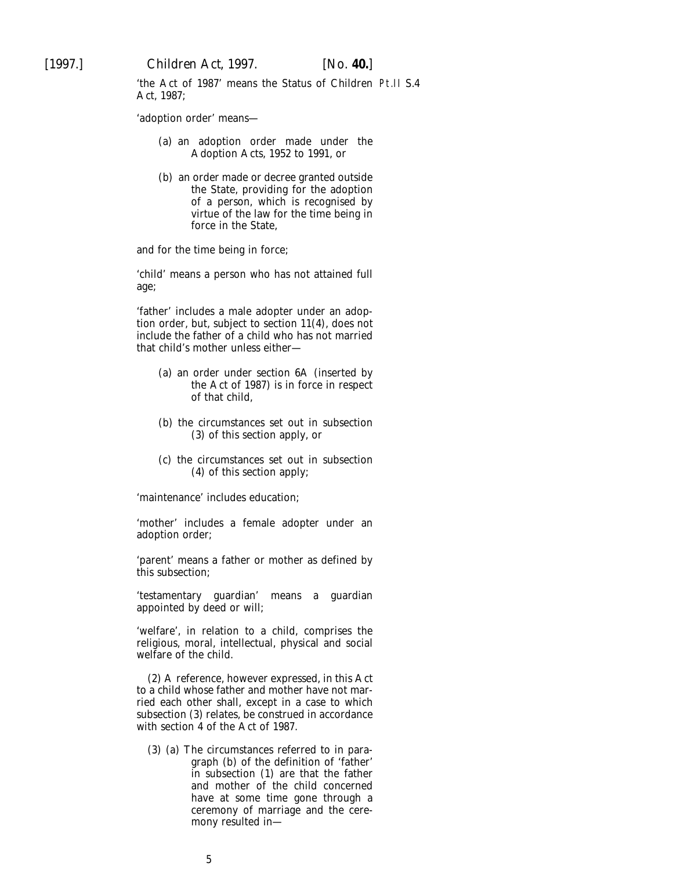'the Act of 1987' means the Status of Children Pt.II S.4Act, 1987;

'adoption order' means—

- (*a*) an adoption order made under the Adoption Acts, 1952 to 1991, or
- (*b*) an order made or decree granted outside the State, providing for the adoption of a person, which is recognised by virtue of the law for the time being in force in the State,

and for the time being in force;

'child' means a person who has not attained full age;

'father' includes a male adopter under an adoption order, but, subject to section 11(4), does not include the father of a child who has not married that child's mother unless either—

- (*a*) an order under section 6A (inserted by the Act of 1987) is in force in respect of that child,
- (*b*) the circumstances set out in subsection (3) of this section apply, or
- (*c*) the circumstances set out in subsection (4) of this section apply;

'maintenance' includes education;

'mother' includes a female adopter under an adoption order;

'parent' means a father or mother as defined by this subsection;

'testamentary guardian' means a guardian appointed by deed or will;

'welfare', in relation to a child, comprises the religious, moral, intellectual, physical and social welfare of the child.

(2) A reference, however expressed, in this Act to a child whose father and mother have not married each other shall, except in a case to which subsection (3) relates, be construed in accordance with section 4 of the Act of 1987.

(3) (*a*) The circumstances referred to in paragraph (*b*) of the definition of 'father' in subsection (1) are that the father and mother of the child concerned have at some time gone through a ceremony of marriage and the ceremony resulted in—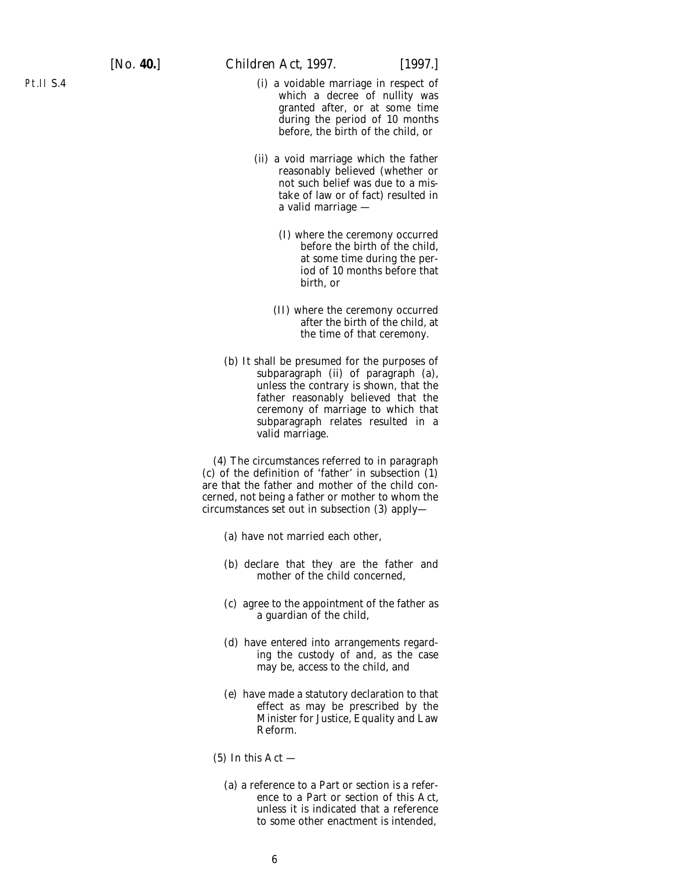- (i) a voidable marriage in respect of which a decree of nullity was granted after, or at some time during the period of 10 months before, the birth of the child, or
- (ii) a void marriage which the father reasonably believed (whether or not such belief was due to a mistake of law or of fact) resulted in a valid marriage —
	- (I) where the ceremony occurred before the birth of the child, at some time during the period of 10 months before that birth, or
	- (II) where the ceremony occurred after the birth of the child, at the time of that ceremony.
- (*b*) It shall be presumed for the purposes of subparagraph (ii) of paragraph (*a*), unless the contrary is shown, that the father reasonably believed that the ceremony of marriage to which that subparagraph relates resulted in a valid marriage.

(4) The circumstances referred to in paragraph (*c*) of the definition of 'father' in subsection (1) are that the father and mother of the child concerned, not being a father or mother to whom the circumstances set out in subsection (3) apply—

- (*a*) have not married each other,
- (*b*) declare that they are the father and mother of the child concerned,
- (*c*) agree to the appointment of the father as a guardian of the child,
- (*d*) have entered into arrangements regarding the custody of and, as the case may be, access to the child, and
- (*e*) have made a statutory declaration to that effect as may be prescribed by the Minister for Justice, Equality and Law Reform.
- $(5)$  In this Act  $-$ 
	- (*a*) a reference to a Part or section is a reference to a Part or section of this Act, unless it is indicated that a reference to some other enactment is intended,

Pt.II S.4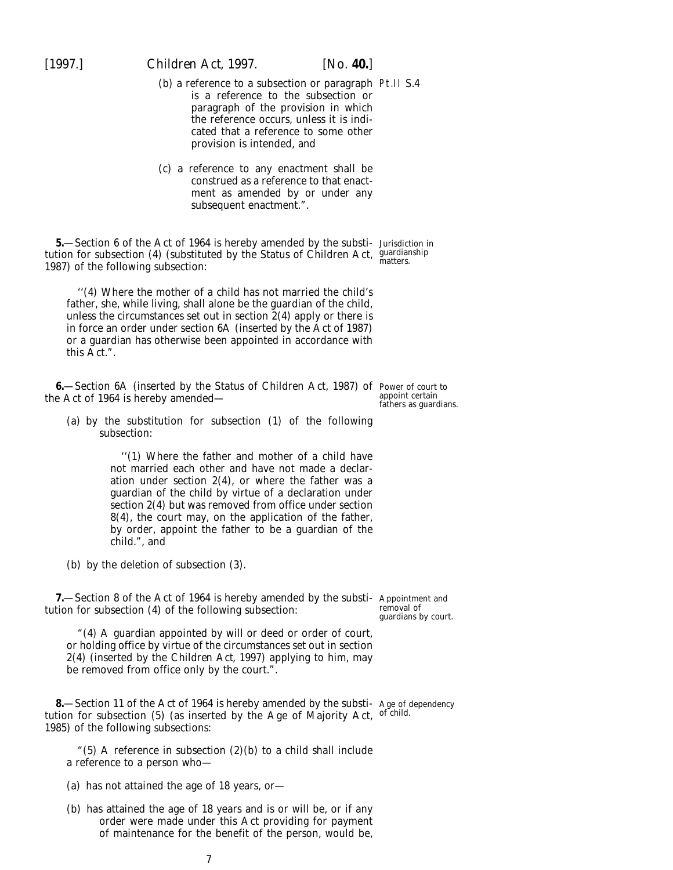- <span id="page-6-0"></span>(*b*) a reference to a subsection or paragraph Pt.II S.4 is a reference to the subsection or paragraph of the provision in which the reference occurs, unless it is indicated that a reference to some other provision is intended, and
- (*c*) a reference to any enactment shall be construed as a reference to that enactment as amended by or under any subsequent enactment.".

**5.**—Section 6 of the Act of 1964 is hereby amended by the substi- Jurisdiction in tution for subsection (4) (substituted by the Status of Children Act, guardianship<br>1987) of the following subsection: 1987) of the following subsection:

''(4) Where the mother of a child has not married the child's father, she, while living, shall alone be the guardian of the child, unless the circumstances set out in section 2(4) apply or there is in force an order under section 6A (inserted by the Act of 1987) or a guardian has otherwise been appointed in accordance with this Act.".

**6.**—Section 6A (inserted by the Status of Children Act, 1987) of Power of court to the Act of 1964 is hereby amended—

appoint certain fathers as guardians.

removal of guardians by court.

(*a*) by the substitution for subsection (1) of the following subsection:

> ''(1) Where the father and mother of a child have not married each other and have not made a declaration under section  $2(4)$ , or where the father was a guardian of the child by virtue of a declaration under section 2(4) but was removed from office under section 8(4), the court may, on the application of the father, by order, appoint the father to be a guardian of the child.", and

(*b*) by the deletion of subsection (3).

**7.**—Section 8 of the Act of 1964 is hereby amended by the substi- Appointment and tution for subsection (4) of the following subsection:

"(4) A guardian appointed by will or deed or order of court, or holding office by virtue of the circumstances set out in section 2(4) (inserted by the *Children Act, 1997*) applying to him, may be removed from office only by the court.".

**8.**—Section 11 of the Act of 1964 is hereby amended by the substi-Age of dependency tution for subsection (5) (as inserted by the Age of Majority Act, of child. 1985) of the following subsections:

"(5) A reference in subsection  $(2)(b)$  to a child shall include a reference to a person who-

- (*a*) has not attained the age of 18 years, or—
- (*b*) has attained the age of 18 years and is or will be, or if any order were made under this Act providing for payment of maintenance for the benefit of the person, would be,

7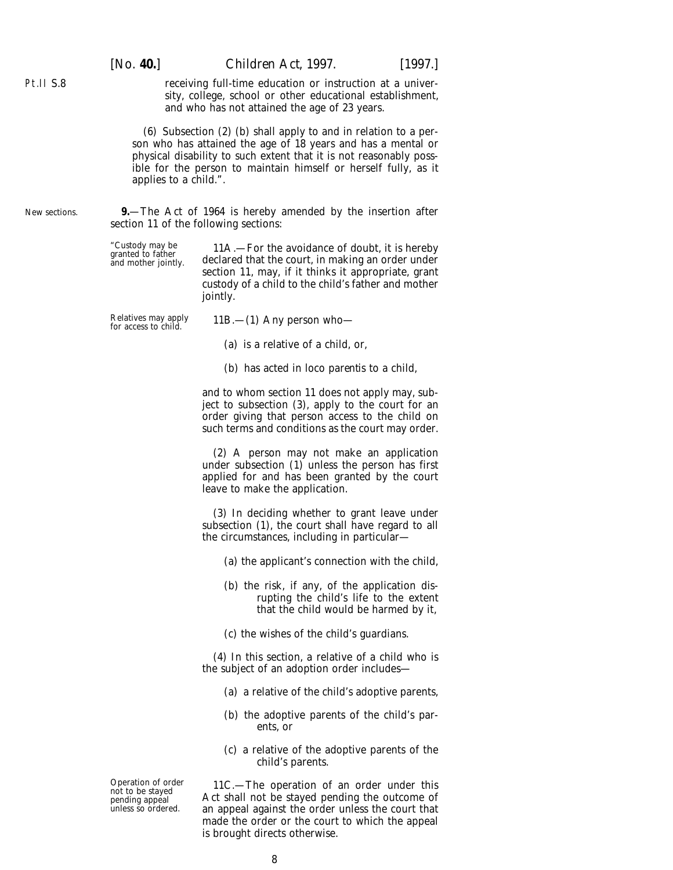<span id="page-7-0"></span>receiving full-time education or instruction at a university, college, school or other educational establishment, and who has not attained the age of 23 years.

(6) Subsection (2) (*b*) shall apply to and in relation to a person who has attained the age of 18 years and has a mental or physical disability to such extent that it is not reasonably possible for the person to maintain himself or herself fully, as it applies to a child.".

**9.**—The Act of 1964 is hereby amended by the insertion after section 11 of the following sections:

"Custody may be 11A.—For the avoidance of doubt, it is hereby granted to father declared that the court, in making an order under and mother jointly. section 11, may, if it thinks it appropriate, grant custody of a child to the child's father and mother jointly.

Relatives may apply 11B.—(1) Any person who—<br>for access to child.

(*a*) is a relative of a child, or,

(*b*) has acted *in loco parentis* to a child,

and to whom section 11 does not apply may, subject to subsection (3), apply to the court for an order giving that person access to the child on such terms and conditions as the court may order.

(2) A person may not make an application under subsection (1) unless the person has first applied for and has been granted by the court leave to make the application.

(3) In deciding whether to grant leave under subsection (1), the court shall have regard to all the circumstances, including in particular—

(*a*) the applicant's connection with the child,

- (*b*) the risk, if any, of the application disrupting the child's life to the extent that the child would be harmed by it,
- (*c*) the wishes of the child's guardians.

(4) In this section, a relative of a child who is the subject of an adoption order includes—

- (*a*) a relative of the child's adoptive parents,
- (*b*) the adoptive parents of the child's parents, or
- (*c*) a relative of the adoptive parents of the child's parents.

Operation of order 11C.—The operation of an order under this not to be stayed Act shall not be stayed pending the outcome of not to be stayed<br>
pending appeal act shall not be stayed pending the outcome of<br>
unless so ordered. An appeal against the order unless the court that an appeal against the order unless the court that made the order or the court to which the appeal is brought directs otherwise.

8

New sections.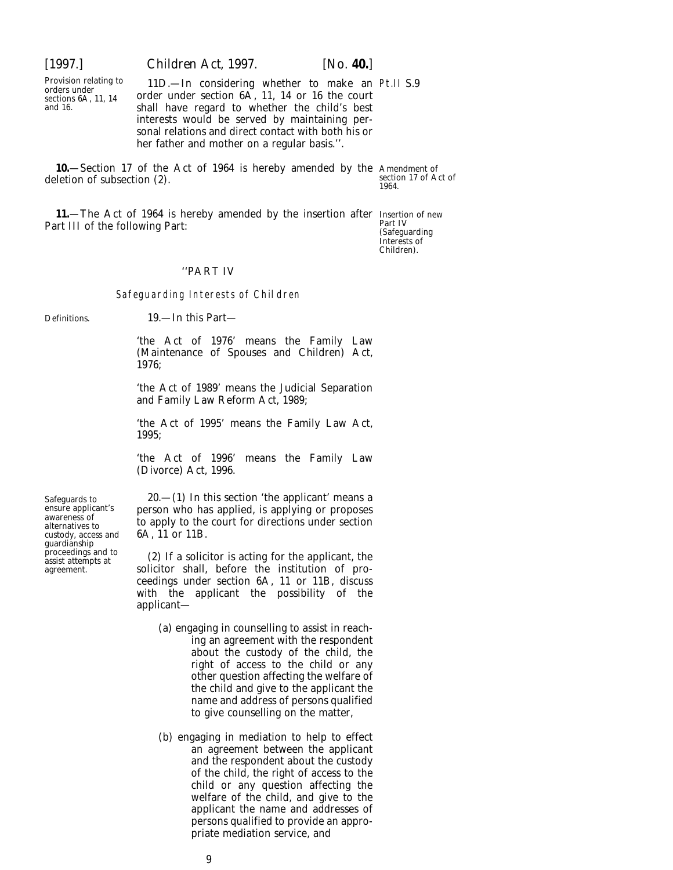<span id="page-8-0"></span>

Provision relating to 11D.—In considering whether to make an Pt.II S.9 orders under  $\frac{11D}{6A}$ , 11, 14 or 16 the court and 16. shall have regard to whether the child's best interests would be served by maintaining personal relations and direct contact with both his or her father and mother on a regular basis.''.

**10.**—Section 17 of the Act of 1964 is hereby amended by the Amendment of deletion of subsection (2).

section 17 of Act of 1964.

**11.**—The Act of 1964 is hereby amended by the insertion after Insertion of new<br>rt III of the following Part: Part III of the following Part:

(Safeguarding Interests of Children).

#### ''PART IV

#### Safeguarding Interests of Children

Definitions. 19.—In this Part—

'the Act of 1976' means the Family Law (Maintenance of Spouses and Children) Act, 1976;

'the Act of 1989' means the Judicial Separation and Family Law Reform Act, 1989;

'the Act of 1995' means the Family Law Act, 1995;

'the Act of 1996' means the Family Law (Divorce) Act, 1996.

Safeguards to  $20-(1)$  In this section 'the applicant' means a ensure applicant's person who has applied, is applying or proposes ensure applicant's person who has applied, is applying or proposes awareness of to apply to the court for directions under section alternatives to to apply to the court for directions under section custody, access and 6A,

proceedings and to (2) If a solicitor is acting for the applicant, the assist attempts at a solicitor shall, before the institution of prosolicitor shall, before the institution of proceedings under section 6A, 11 or 11B, discuss with the applicant the possibility of the applicant—

- (*a*) engaging in counselling to assist in reaching an agreement with the respondent about the custody of the child, the right of access to the child or any other question affecting the welfare of the child and give to the applicant the name and address of persons qualified to give counselling on the matter,
- (*b*) engaging in mediation to help to effect an agreement between the applicant and the respondent about the custody of the child, the right of access to the child or any question affecting the welfare of the child, and give to the applicant the name and addresses of persons qualified to provide an appropriate mediation service, and

custody, access and guardianship<br>proceedings and to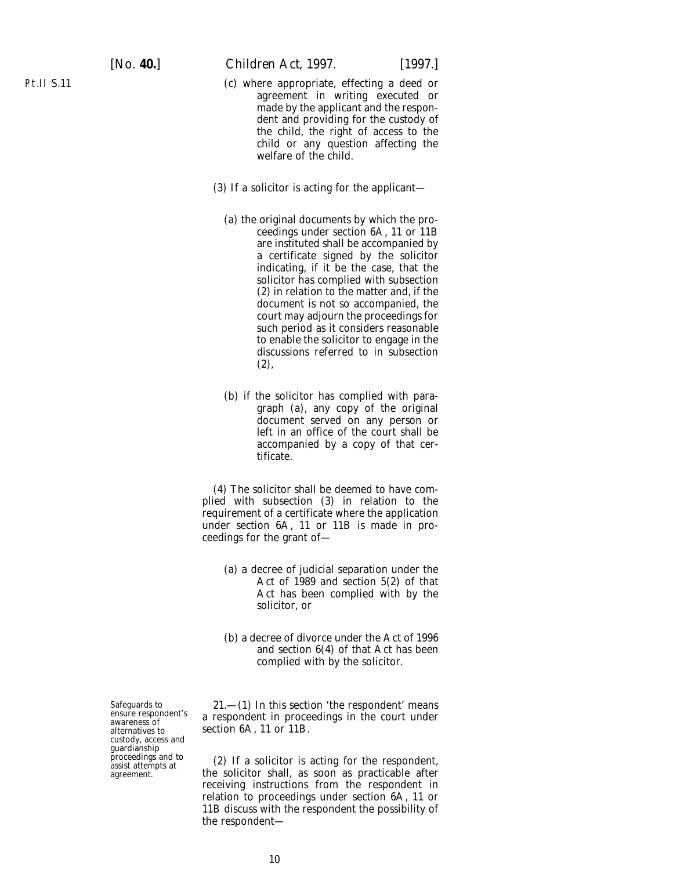Pt.II S.11

- (*c*) where appropriate, effecting a deed or agreement in writing executed or made by the applicant and the respondent and providing for the custody of the child, the right of access to the child or any question affecting the welfare of the child.
- (3) If a solicitor is acting for the applicant—
	- (*a*) the original documents by which the proceedings under section 6A, 11 or 11B are instituted shall be accompanied by a certificate signed by the solicitor indicating, if it be the case, that the solicitor has complied with subsection (2) in relation to the matter and, if the document is not so accompanied, the court may adjourn the proceedings for such period as it considers reasonable to enable the solicitor to engage in the discussions referred to in subsection (2),
	- (*b*) if the solicitor has complied with paragraph (*a*), any copy of the original document served on any person or left in an office of the court shall be accompanied by a copy of that certificate.

(4) The solicitor shall be deemed to have complied with subsection (3) in relation to the requirement of a certificate where the application under section 6A, 11 or 11B is made in proceedings for the grant of—

- (*a*) a decree of judicial separation under the Act of 1989 and section 5(2) of that Act has been complied with by the solicitor, or
- (*b*) a decree of divorce under the Act of 1996 and section 6(4) of that Act has been complied with by the solicitor.

Safeguards to 21.—(1) In this section 'the respondent' means ensure respondent in proceedings in the court under alternatives to section 6A, 11 or 11B. section  $6A$ , 11 or 11B.

proceedings and to (2) If a solicitor is acting for the respondent, agreement. the solicitor shall, as soon as practicable after the solicitor shall, as soon as practicable after receiving instructions from the respondent in relation to proceedings under section 6A, 11 or 11B discuss with the respondent the possibility of the respondent—

custody, access and guardianship<br>proceedings and to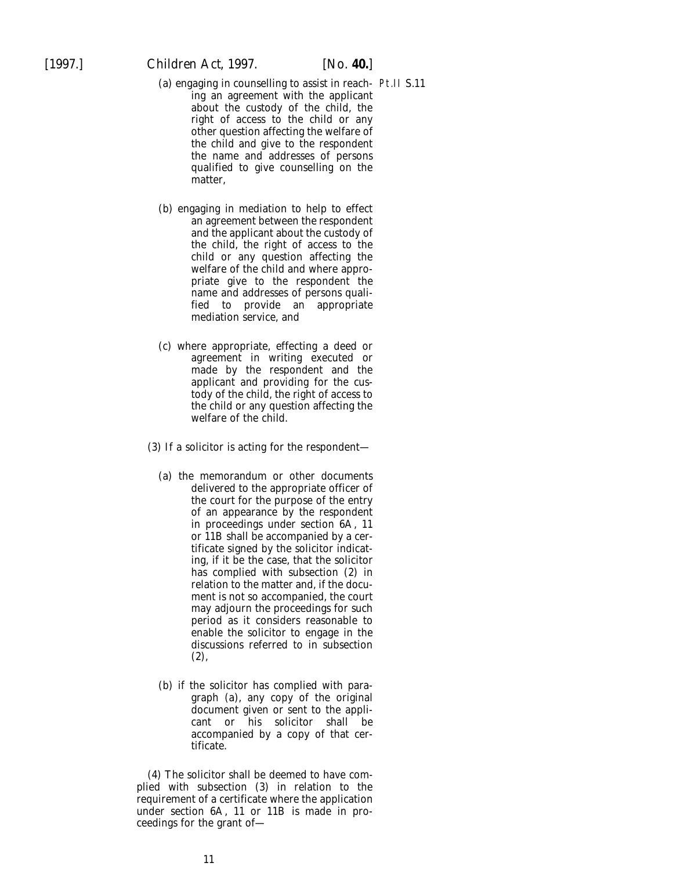- (*a*) engaging in counselling to assist in reach-Pt.II S.11ing an agreement with the applicant about the custody of the child, the right of access to the child or any other question affecting the welfare of the child and give to the respondent the name and addresses of persons qualified to give counselling on the matter,
- (*b*) engaging in mediation to help to effect an agreement between the respondent and the applicant about the custody of the child, the right of access to the child or any question affecting the welfare of the child and where appropriate give to the respondent the name and addresses of persons qualified to provide an appropriate mediation service, and
- (*c*) where appropriate, effecting a deed or agreement in writing executed or made by the respondent and the applicant and providing for the custody of the child, the right of access to the child or any question affecting the welfare of the child.
- (3) If a solicitor is acting for the respondent—
	- (*a*) the memorandum or other documents delivered to the appropriate officer of the court for the purpose of the entry of an appearance by the respondent in proceedings under section 6A, 11 or 11B shall be accompanied by a certificate signed by the solicitor indicating, if it be the case, that the solicitor has complied with subsection (2) in relation to the matter and, if the document is not so accompanied, the court may adjourn the proceedings for such period as it considers reasonable to enable the solicitor to engage in the discussions referred to in subsection (2),
	- (*b*) if the solicitor has complied with paragraph (*a*), any copy of the original document given or sent to the applicant or his solicitor shall be accompanied by a copy of that certificate.

(4) The solicitor shall be deemed to have complied with subsection (3) in relation to the requirement of a certificate where the application under section 6A, 11 or 11B is made in proceedings for the grant of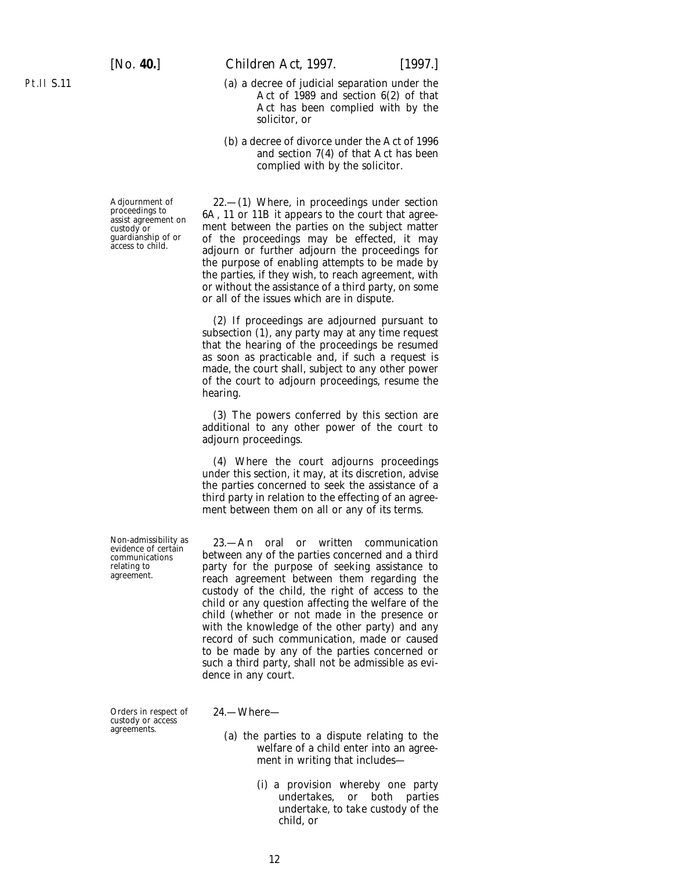Pt.II S.11

[*No.* **40.**] *Children Act,* 1997. [1997.]

- (*a*) a decree of judicial separation under the Act of 1989 and section 6(2) of that Act has been complied with by the solicitor, or
- (*b*) a decree of divorce under the Act of 1996 and section 7(4) of that Act has been complied with by the solicitor.

Adjournment of 22.—(1) Where, in proceedings under section proceedings to 6A, 11 or 11B it appears to the court that agree-<br>custody or ment between the parties on the subject matter existedy or an expect ment between the parties on the subject matter<br>guardianship of or a of the proceedings may be effected it may guardianship of or of the proceedings may be effected, it may access to child. adjourn or further adjourn the proceedings for the purpose of enabling attempts to be made by the parties, if they wish, to reach agreement, with or without the assistance of a third party, on some or all of the issues which are in dispute.

> (2) If proceedings are adjourned pursuant to subsection (1), any party may at any time request that the hearing of the proceedings be resumed as soon as practicable and, if such a request is made, the court shall, subject to any other power of the court to adjourn proceedings, resume the hearing.

> (3) The powers conferred by this section are additional to any other power of the court to adjourn proceedings.

> (4) Where the court adjourns proceedings under this section, it may, at its discretion, advise the parties concerned to seek the assistance of a third party in relation to the effecting of an agreement between them on all or any of its terms.

Non-admissibility as 23.—An oral or written communication evidence of certain between any of the parties concerned and a third evidence of certain<br>
communications between any of the parties concerned and a third<br>
relating to party for the purpose of seeking assistance to agreement. reach agreement between them regarding the custody of the child, the right of access to the child or any question affecting the welfare of the child (whether or not made in the presence or with the knowledge of the other party) and any record of such communication, made or caused to be made by any of the parties concerned or such a third party, shall not be admissible as evidence in any court.

Orders in respect of 24.—Where custody or access

- (*a*) the parties to a dispute relating to the welfare of a child enter into an agreement in writing that includes—
	- (i) a provision whereby one party undertakes, or both parties undertake, to take custody of the child, or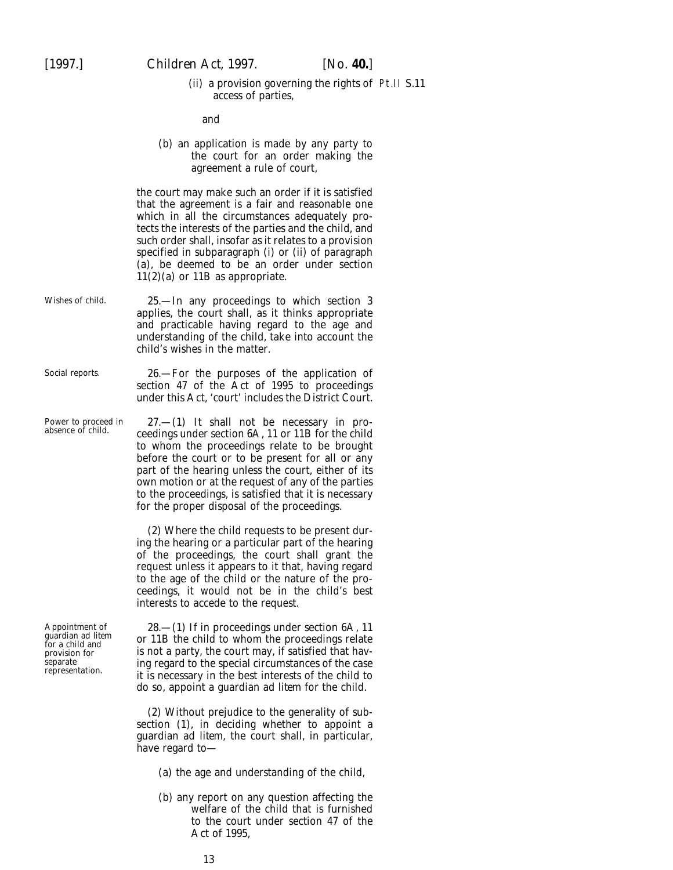(ii) a provision governing the rights of Pt.II S.11access of parties,

and

(*b*) an application is made by any party to the court for an order making the agreement a rule of court,

the court may make such an order if it is satisfied that the agreement is a fair and reasonable one which in all the circumstances adequately protects the interests of the parties and the child, and such order shall, insofar as it relates to a provision specified in subparagraph (i) or (ii) of paragraph (*a*), be deemed to be an order under section 11(2)(*a*) or 11B as appropriate.

- Wishes of child. 25.—In any proceedings to which section 3 applies, the court shall, as it thinks appropriate and practicable having regard to the age and understanding of the child, take into account the child's wishes in the matter.
- Social reports. 26.—For the purposes of the application of section 47 of the Act of 1995 to proceedings under this Act, 'court' includes the District Court.

Power to proceed in 27.—(1) It shall not be necessary in pro-<br>absence of child. ceedings under section 6A, 11 or 11B for the child to whom the proceedings relate to be brought before the court or to be present for all or any part of the hearing unless the court, either of its own motion or at the request of any of the parties to the proceedings, is satisfied that it is necessary for the proper disposal of the proceedings.

> (2) Where the child requests to be present during the hearing or a particular part of the hearing of the proceedings, the court shall grant the request unless it appears to it that, having regard to the age of the child or the nature of the proceedings, it would not be in the child's best interests to accede to the request.

Appointment of 28.—(1) If in proceedings under section 6A, 11 guardian *ad litem* or 11B the child to whom the proceedings relate provision for is not a party, the court may, if satisfied that havprovision for is not a party, the court may, if satisfied that hav-<br>separate ing regard to the special circumstances of the case representation. it is necessary in the best interests of the child to do so, appoint a guardian *ad litem* for the child.

> (2) Without prejudice to the generality of subsection (1), in deciding whether to appoint a guardian *ad litem*, the court shall, in particular, have regard to—

- (*a*) the age and understanding of the child,
- (*b*) any report on any question affecting the welfare of the child that is furnished to the court under section 47 of the Act of 1995,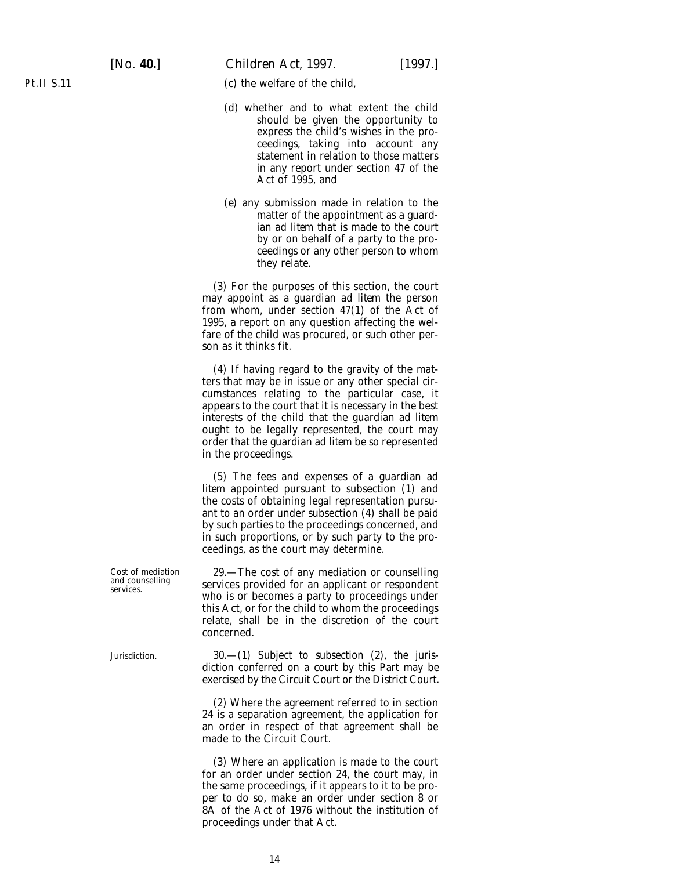(*c*) the welfare of the child,

- (*d*) whether and to what extent the child should be given the opportunity to express the child's wishes in the proceedings, taking into account any statement in relation to those matters in any report under section 47 of the Act of 1995, and
- (*e*) any submission made in relation to the matter of the appointment as a guardian *ad litem* that is made to the court by or on behalf of a party to the proceedings or any other person to whom they relate.

(3) For the purposes of this section, the court may appoint as a guardian *ad litem* the person from whom, under section 47(1) of the Act of 1995, a report on any question affecting the welfare of the child was procured, or such other person as it thinks fit.

(4) If having regard to the gravity of the matters that may be in issue or any other special circumstances relating to the particular case, it appears to the court that it is necessary in the best interests of the child that the guardian *ad litem* ought to be legally represented, the court may order that the guardian *ad litem* be so represented in the proceedings.

(5) The fees and expenses of a guardian *ad litem* appointed pursuant to subsection (1) and the costs of obtaining legal representation pursuant to an order under subsection (4) shall be paid by such parties to the proceedings concerned, and in such proportions, or by such party to the proceedings, as the court may determine.

Cost of mediation 29.—The cost of any mediation or counselling and counselling services provided for an applicant or respondent services. who is or becomes a party to proceedings under this Act, or for the child to whom the proceedings relate, shall be in the discretion of the court concerned.

Jurisdiction. 30.—(1) Subject to subsection (2), the jurisdiction conferred on a court by this Part may be exercised by the Circuit Court or the District Court.

> (2) Where the agreement referred to in section 24 is a separation agreement, the application for an order in respect of that agreement shall be made to the Circuit Court.

> (3) Where an application is made to the court for an order under section 24, the court may, in the same proceedings, if it appears to it to be proper to do so, make an order under section 8 or 8A of the Act of 1976 without the institution of proceedings under that Act.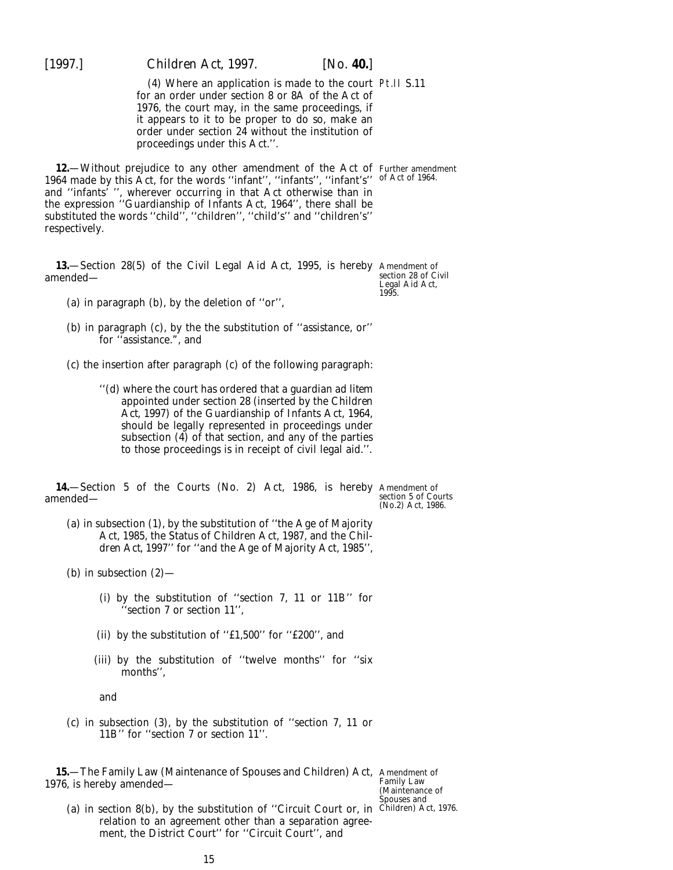<span id="page-14-0"></span>(4) Where an application is made to the court Pt.II S.11 for an order under section 8 or 8A of the Act of 1976, the court may, in the same proceedings, if it appears to it to be proper to do so, make an order under section 24 without the institution of proceedings under this Act.''.

**12.**—Without prejudice to any other amendment of the Act of 1964 made by this Act, for the words ''infant'', ''infants'', ''infant's'' and ''infants' '', wherever occurring in that Act otherwise than in the expression ''Guardianship of Infants Act, 1964'', there shall be substituted the words ''child'', ''children'', ''child's'' and ''children's'' respectively. Further amendment of Act of 1964.

**13.**—Section 28(5) of the Civil Legal Aid Act, 1995, is hereby Amendment of amended—

section 28 of Civil Legal Aid Act, 1995.

(*a*) in paragraph (*b*), by the deletion of ''or'',

(*b*) in paragraph (*c*), by the the substitution of ''assistance, or'' for ''assistance.", and

(*c*) the insertion after paragraph (*c*) of the following paragraph:

''(*d*) where the court has ordered that a guardian *ad litem* appointed under section 28 (inserted by the *Children Act, 1997*) of the Guardianship of Infants Act, 1964, should be legally represented in proceedings under subsection (4) of that section, and any of the parties to those proceedings is in receipt of civil legal aid.''.

**14.**—Section 5 of the Courts (No. 2) Act, 1986, is hereby Amendment of amended—

section 5 of Courts (No.2) Act, 1986.

- (*a*) in subsection (1), by the substitution of ''the Age of Majority Act, 1985, the Status of Children Act, 1987, and the *Chil*dren Act, 1997' for "and the Age of Majority Act, 1985",
- (*b*) in subsection (2)—
	- (i) by the substitution of ''section 7, 11 or 11B'' for 'section 7 or section 11",
	- (ii) by the substitution of ''£1,500'' for ''£200'', and
	- (iii) by the substitution of ''twelve months'' for ''six months'',

and

(*c*) in subsection (3), by the substitution of ''section 7, 11 or 11B'' for ''section 7 or section 11''.

**15.**—The Family Law (Maintenance of Spouses and Children) Act, Amendment of 1976, is hereby amended—

(*a*) in section 8(*b*), by the substitution of ''Circuit Court or, in relation to an agreement other than a separation agreement, the District Court'' for ''Circuit Court'', and

Family Law (Maintenance of Spouses and Children) Act, 1976.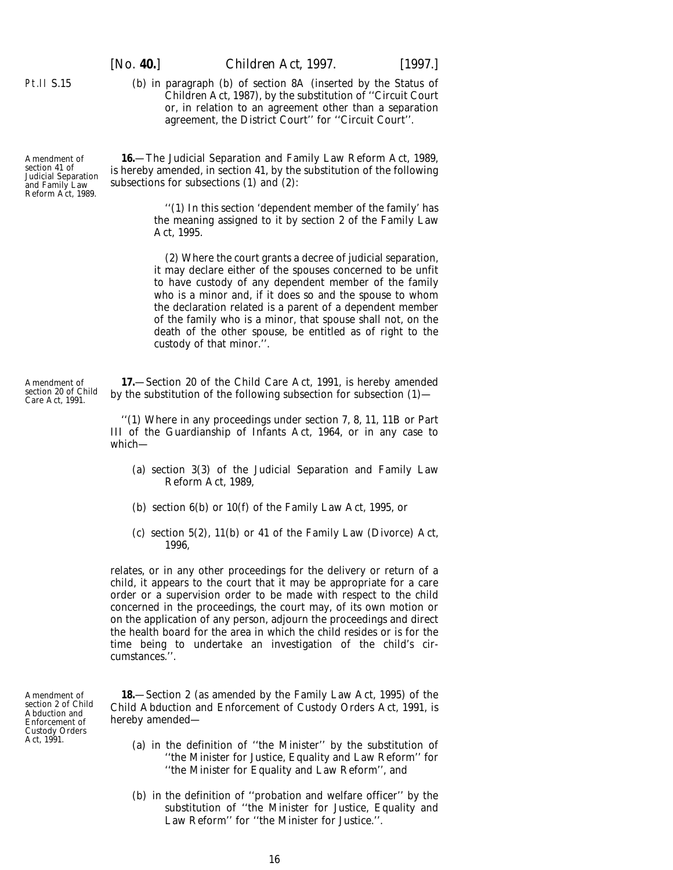(*b*) in paragraph (*b*) of section 8A (inserted by the Status of Children Act, 1987), by the substitution of ''Circuit Court or, in relation to an agreement other than a separation agreement, the District Court'' for ''Circuit Court''.

**16.**—The Judicial Separation and Family Law Reform Act, 1989, is hereby amended, in section 41, by the substitution of the following subsections for subsections (1) and (2):

> ''(1) In this section 'dependent member of the family' has the meaning assigned to it by section 2 of the Family Law Act, 1995.

> (2) Where the court grants a decree of judicial separation, it may declare either of the spouses concerned to be unfit to have custody of any dependent member of the family who is a minor and, if it does so and the spouse to whom the declaration related is a parent of a dependent member of the family who is a minor, that spouse shall not, on the death of the other spouse, be entitled as of right to the custody of that minor.''.

**17.**—Section 20 of the Child Care Act, 1991, is hereby amended by the substitution of the following subsection for subsection (1)—

''(1) Where in any proceedings under section 7, 8, 11, 11B or Part III of the Guardianship of Infants Act, 1964, or in any case to which—

- (*a*) section 3(3) of the Judicial Separation and Family Law Reform Act, 1989,
- (*b*) section 6(*b*) or 10(*f*) of the Family Law Act, 1995, or
- (*c*) section 5(2), 11(*b*) or 41 of the Family Law (Divorce) Act, 1996,

relates, or in any other proceedings for the delivery or return of a child, it appears to the court that it may be appropriate for a care order or a supervision order to be made with respect to the child concerned in the proceedings, the court may, of its own motion or on the application of any person, adjourn the proceedings and direct the health board for the area in which the child resides or is for the time being to undertake an investigation of the child's circumstances.''.

**18.**—Section 2 (as amended by the Family Law Act, 1995) of the Child Abduction and Enforcement of Custody Orders Act, 1991, is hereby amended—

- (*a*) in the definition of ''the Minister'' by the substitution of ''the Minister for Justice, Equality and Law Reform'' for ''the Minister for Equality and Law Reform'', and
- (*b*) in the definition of ''probation and welfare officer'' by the substitution of ''the Minister for Justice, Equality and Law Reform'' for ''the Minister for Justice.''.

Amendment of section 20 of Child Care Act, 1991.

<span id="page-15-0"></span>Pt.II S.15

Amendment of section 41 of Judicial Separation and Family Law Reform Act, 1989.

Amendment of section 2 of Child Abduction and Enforcement of Custody Orders Act, 1991.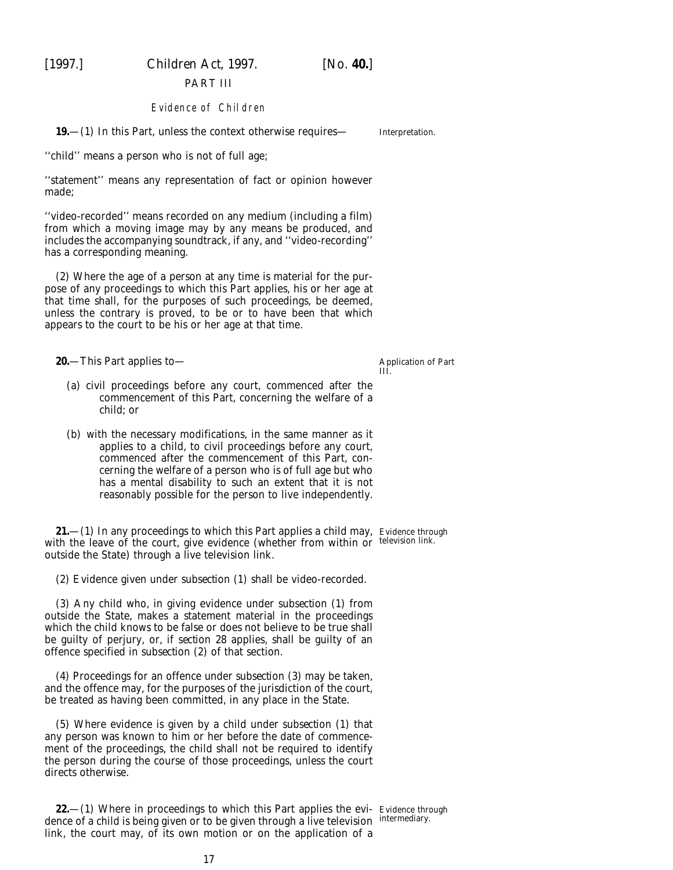<span id="page-16-0"></span>

### PART III

#### Evidence of Children

**19.**—(1) In this Part, unless the context otherwise requires—

''child'' means a person who is not of full age;

''statement'' means any representation of fact or opinion however made;

''video-recorded'' means recorded on any medium (including a film) from which a moving image may by any means be produced, and includes the accompanying soundtrack, if any, and ''video-recording'' has a corresponding meaning.

(2) Where the age of a person at any time is material for the purpose of any proceedings to which this Part applies, his or her age at that time shall, for the purposes of such proceedings, be deemed, unless the contrary is proved, to be or to have been that which appears to the court to be his or her age at that time.

**20.**—This Part applies to—

Application of *Part III*.

- (*a*) civil proceedings before any court, commenced after the commencement of this Part, concerning the welfare of a child; or
- (*b*) with the necessary modifications, in the same manner as it applies to a child, to civil proceedings before any court, commenced after the commencement of this Part, concerning the welfare of a person who is of full age but who has a mental disability to such an extent that it is not reasonably possible for the person to live independently.

**21.**—(1) In any proceedings to which this Part applies a child may, Evidence through with the leave of the court, give evidence (whether from within or television link. outside the State) through a live television link.

(2) Evidence given under *subsection (1)* shall be video-recorded.

(3) Any child who, in giving evidence under *subsection (1)* from outside the State, makes a statement material in the proceedings which the child knows to be false or does not believe to be true shall be guilty of perjury, or, if *section 28* applies, shall be guilty of an offence specified in *subsection (2)* of that section.

(4) Proceedings for an offence under *subsection (3)* may be taken, and the offence may, for the purposes of the jurisdiction of the court, be treated as having been committed, in any place in the State.

(5) Where evidence is given by a child under *subsection (1)* that any person was known to him or her before the date of commencement of the proceedings, the child shall not be required to identify the person during the course of those proceedings, unless the court directs otherwise.

**22.**—(1) Where in proceedings to which this Part applies the evi- Evidence through dence of a child is being given or to be given through a live television intermediary. link, the court may, of its own motion or on the application of a

Interpretation.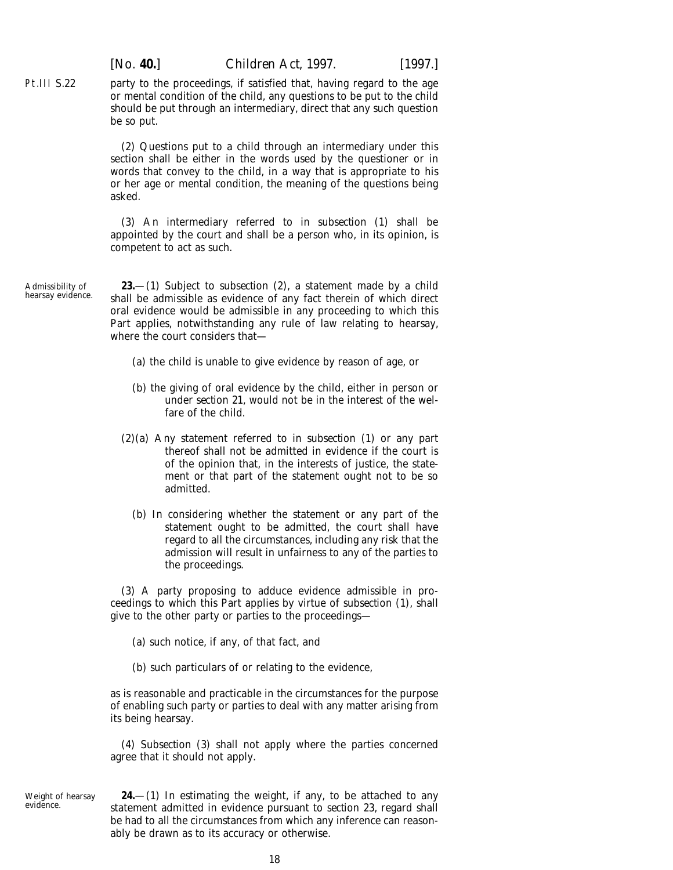party to the proceedings, if satisfied that, having regard to the age or mental condition of the child, any questions to be put to the child should be put through an intermediary, direct that any such question be so put.

(2) Questions put to a child through an intermediary under this section shall be either in the words used by the questioner or in words that convey to the child, in a way that is appropriate to his or her age or mental condition, the meaning of the questions being asked.

(3) An intermediary referred to in *subsection (1)* shall be appointed by the court and shall be a person who, in its opinion, is competent to act as such.

Admissibility of hearsay evidence.

<span id="page-17-0"></span>Pt.III S.22

**23.**—(1) Subject to *subsection (2)*, a statement made by a child shall be admissible as evidence of any fact therein of which direct oral evidence would be admissible in any proceeding to which this Part applies, notwithstanding any rule of law relating to hearsay, where the court considers that—

- (*a*) the child is unable to give evidence by reason of age, or
- (*b*) the giving of oral evidence by the child, either in person or under *section 21*, would not be in the interest of the welfare of the child.
- (2)(*a*) Any statement referred to in *subsection (1)* or any part thereof shall not be admitted in evidence if the court is of the opinion that, in the interests of justice, the statement or that part of the statement ought not to be so admitted.
	- (*b*) In considering whether the statement or any part of the statement ought to be admitted, the court shall have regard to all the circumstances, including any risk that the admission will result in unfairness to any of the parties to the proceedings.

(3) A party proposing to adduce evidence admissible in proceedings to which this Part applies by virtue of *subsection (1)*, shall give to the other party or parties to the proceedings—

(*a*) such notice, if any, of that fact, and

(*b*) such particulars of or relating to the evidence,

as is reasonable and practicable in the circumstances for the purpose of enabling such party or parties to deal with any matter arising from its being hearsay.

(4) *Subsection (3)* shall not apply where the parties concerned agree that it should not apply.

Weight of hearsay evidence.

**<sup>24.</sup>**—(1) In estimating the weight, if any, to be attached to any statement admitted in evidence pursuant to *section* 23, regard shall be had to all the circumstances from which any inference can reasonably be drawn as to its accuracy or otherwise.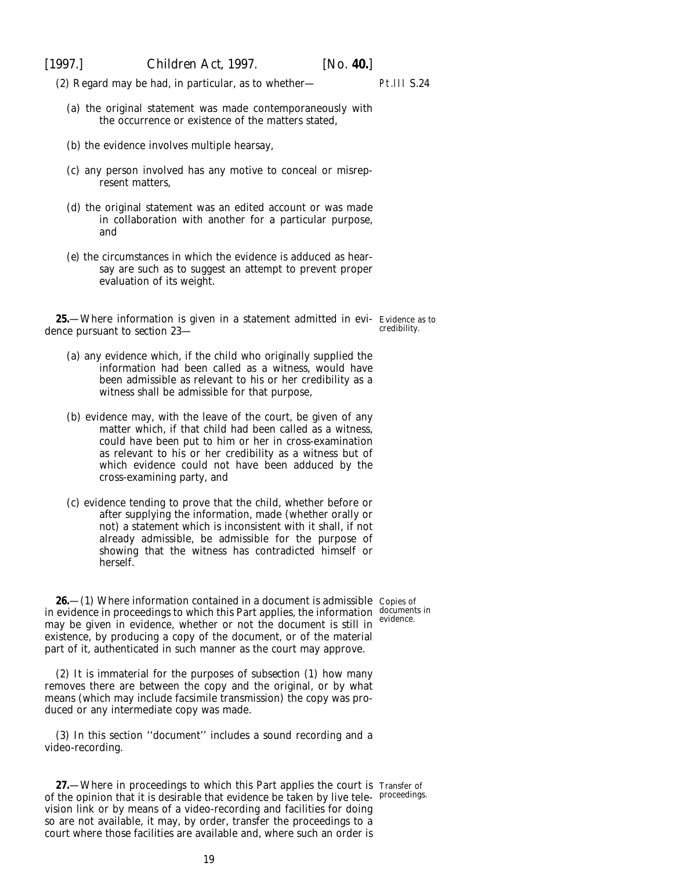<span id="page-18-0"></span>

(2) Regard may be had, in particular, as to whether—

Pt.III S.24

- (*a*) the original statement was made contemporaneously with the occurrence or existence of the matters stated,
- (*b*) the evidence involves multiple hearsay,
- (*c*) any person involved has any motive to conceal or misrepresent matters,
- (*d*) the original statement was an edited account or was made in collaboration with another for a particular purpose, and
- (*e*) the circumstances in which the evidence is adduced as hearsay are such as to suggest an attempt to prevent proper evaluation of its weight.

**25.**—Where information is given in a statement admitted in evi- Evidence as to redibility. dence pursuant to *section 23*—

- (*a*) any evidence which, if the child who originally supplied the information had been called as a witness, would have been admissible as relevant to his or her credibility as a witness shall be admissible for that purpose,
- (*b*) evidence may, with the leave of the court, be given of any matter which, if that child had been called as a witness, could have been put to him or her in cross-examination as relevant to his or her credibility as a witness but of which evidence could not have been adduced by the cross-examining party, and
- (*c*) evidence tending to prove that the child, whether before or after supplying the information, made (whether orally or not) a statement which is inconsistent with it shall, if not already admissible, be admissible for the purpose of showing that the witness has contradicted himself or herself.

**26.**—(1) Where information contained in a document is admissible  $\,$  Copies of in evidence in proceedings to which this Part applies, the information  $\frac{d\overrightarrow{o}c$  updones in may be given in evidence, whether or not the document is still in evidence. existence, by producing a copy of the document, or of the material part of it, authenticated in such manner as the court may approve.

(2) It is immaterial for the purposes of *subsection (1)* how many removes there are between the copy and the original, or by what means (which may include facsimile transmission) the copy was produced or any intermediate copy was made.

(3) In this section ''document'' includes a sound recording and a video-recording.

**27.**—Where in proceedings to which this Part applies the court is Transfer of of the opinion that it is desirable that evidence be taken by live tele-proceedings.vision link or by means of a video-recording and facilities for doing so are not available, it may, by order, transfer the proceedings to a court where those facilities are available and, where such an order is